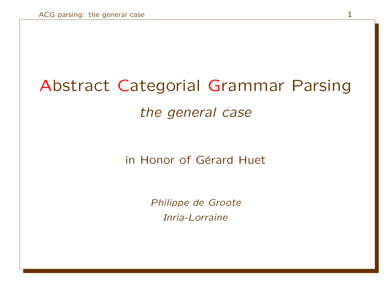# Abstract Categorial Grammar Parsing

the general case

in Honor of Gérard Huet

Philippe de Groote Inria-Lorraine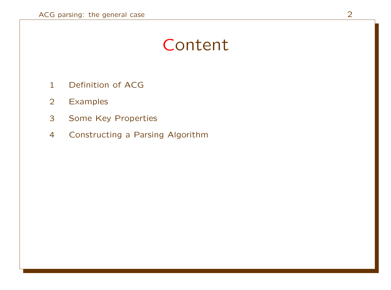# Content

- Definition of ACG
- Examples
- Some Key Properties
- Constructing a Parsing Algorithm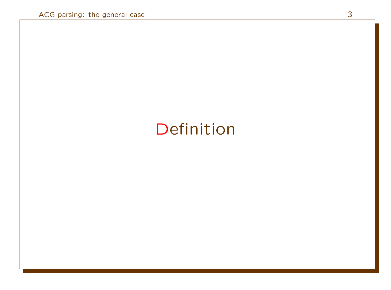# Definition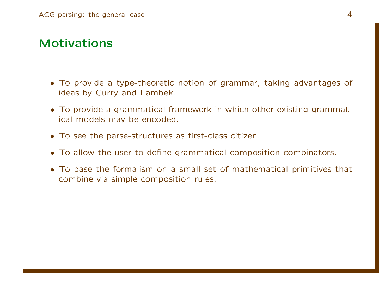### Motivations

- To provide a type-theoretic notion of grammar, taking advantages of ideas by Curry and Lambek.
- To provide a grammatical framework in which other existing grammatical models may be encoded.
- To see the parse-structures as first-class citizen.
- To allow the user to define grammatical composition combinators.
- To base the formalism on a small set of mathematical primitives that combine via simple composition rules.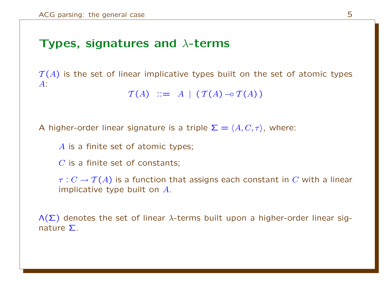### Types, signatures and  $\lambda$ -terms

 $T(A)$  is the set of linear implicative types built on the set of atomic types A:

 $\mathcal{T}(A)$  ::= A |  $(\mathcal{T}(A) \neg \circ \mathcal{T}(A))$ 

A higher-order linear signature is a triple  $\Sigma = \langle A, C, \tau \rangle$ , where:

A is a finite set of atomic types;

 $C$  is a finite set of constants;

 $\tau: C \to \mathcal{T}(A)$  is a function that assigns each constant in C with a linear implicative type built on A.

 $\Lambda(\Sigma)$  denotes the set of linear  $\lambda$ -terms built upon a higher-order linear signature Σ.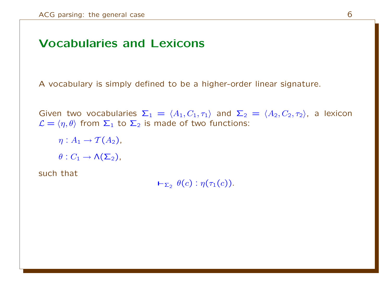### Vocabularies and Lexicons

A vocabulary is simply defined to be a higher-order linear signature.

Given two vocabularies  $\Sigma_1 = \langle A_1, C_1, \tau_1 \rangle$  and  $\Sigma_2 = \langle A_2, C_2, \tau_2 \rangle$ , a lexicon  $\mathcal{L} = \langle \eta, \theta \rangle$  from  $\Sigma_1$  to  $\Sigma_2$  is made of two functions:

 $\eta: A_1 \rightarrow \mathcal{T}(A_2),$  $\theta: C_1 \to \Lambda(\Sigma_2)$ ,

such that

 $\vdash_{\Sigma_2} \theta(c): \eta(\tau_1(c)).$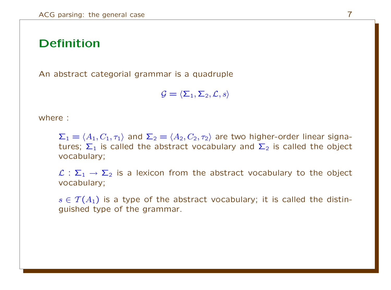### Definition

An abstract categorial grammar is a quadruple

 $\mathcal{G} = \langle \Sigma_1, \Sigma_2, \mathcal{L}, s \rangle$ 

where :

 $\Sigma_1 = \langle A_1, C_1, \tau_1 \rangle$  and  $\Sigma_2 = \langle A_2, C_2, \tau_2 \rangle$  are two higher-order linear signatures;  $\Sigma_1$  is called the abstract vocabulary and  $\Sigma_2$  is called the object vocabulary;

 $\mathcal{L}: \Sigma_1 \to \Sigma_2$  is a lexicon from the abstract vocabulary to the object vocabulary;

 $s \in \mathcal{T}(A_1)$  is a type of the abstract vocabulary; it is called the distinguished type of the grammar.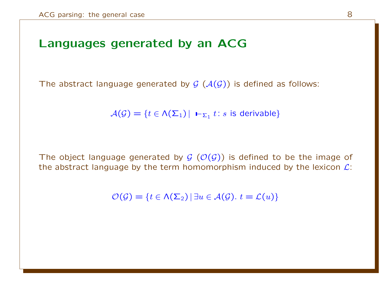### Languages generated by an ACG

The abstract language generated by  $G(\mathcal{A}(G))$  is defined as follows:

 $\mathcal{A}(\mathcal{G}) = \{t \in \mathcal{N}(\mathsf{\Sigma}_1) \, | \, \mathsf{L}_{\mathsf{\Sigma}_1} t : s \text{ is derivable}\}$ 

The object language generated by  $\mathcal{G}(\mathcal{O}(\mathcal{G}))$  is defined to be the image of the abstract language by the term homomorphism induced by the lexicon  $\mathcal{L}$ :

 $\mathcal{O}(\mathcal{G}) = \{t \in \Lambda(\Sigma_2) | \exists u \in \mathcal{A}(\mathcal{G}), t = \mathcal{L}(u)\}\$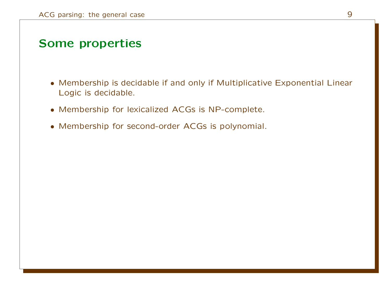### Some properties

- Membership is decidable if and only if Multiplicative Exponential Linear Logic is decidable.
- Membership for lexicalized ACGs is NP-complete.
- Membership for second-order ACGs is polynomial.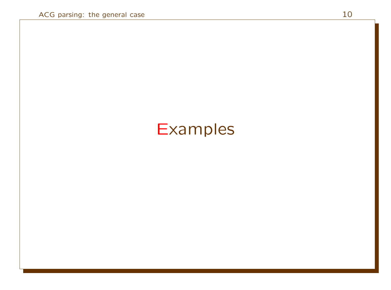# **Examples**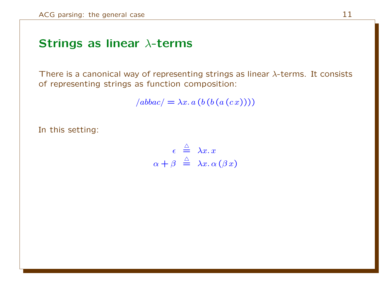### Strings as linear λ-terms

There is a canonical way of representing strings as linear  $\lambda$ -terms. It consists of representing strings as function composition:

 $/abbac / = \lambda x. a (b (b (a (c x))))$ 

In this setting:

 $\epsilon \stackrel{\triangle}{=} \lambda x. x$  $\alpha + \beta \stackrel{\triangle}{=} \lambda x.\, \alpha (\beta x)$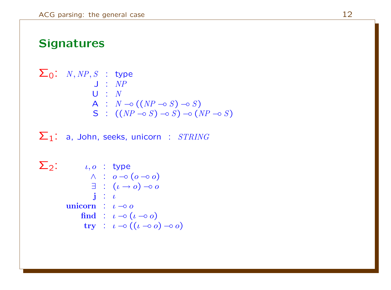## **Signatures**

$$
\Sigma_0: N, NP, S : type
$$
\n
$$
J: NP
$$
\n
$$
U: N
$$
\n
$$
A: N \rightarrow ((NP \rightarrow S) \rightarrow S)
$$
\n
$$
S: ((NP \rightarrow S) \rightarrow S) \rightarrow (NP \rightarrow S)
$$

 $\Sigma_1$ : a, John, seeks, unicorn : STRING

$$
\Sigma_2: \qquad \iota, o \; : \; type \n\wedge : o \multimap (o \multimap o) \n\exists : ( \iota \multimap o) \multimap o \n\vdots : \iota \n\text{union} : \; \iota \multimap o \n\text{find} : \; \iota \multimap ( \iota \multimap o ) \n\text{try} : \; \iota \multimap ( (\iota \multimap o) \multimap o )
$$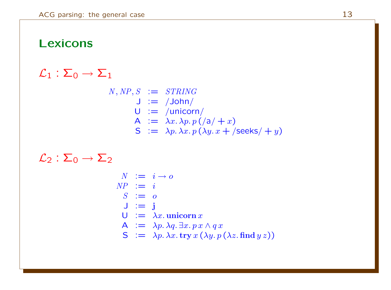### Lexicons

### $\mathcal{L}_1 : \Sigma_0 \to \Sigma_1$

 $N, NP, S := STRING$  $J := /John/$  $U :=$ /unicorn/ A  $:= \lambda x. \lambda p. p \left( \frac{\lambda}{4} + x \right)$  $S := \lambda p. \lambda x. p(\lambda y. x + \beta \text{seeks}( + y)$ 

 $\mathcal{L}_2 : \Sigma_0 \to \Sigma_2$ 

 $N := i \rightarrow o$  $NP := i$  $S := o$  $J := i$  $U := \lambda x$ . unicorn x A  $:= \lambda p. \lambda q. \exists x. p x \wedge q x$  $S := \lambda p. \lambda x.$  try  $x (\lambda y. p (\lambda z. \text{find } y z))$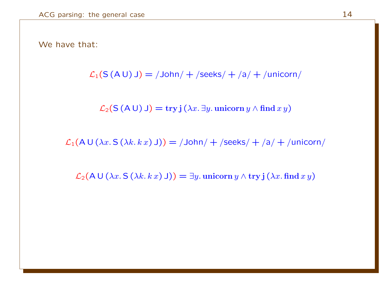#### We have that:

$$
\mathcal{L}_1(S(A\cup) \cup) = / \text{John} / + / \text{seeks} / + /a / + / \text{unicorn} /
$$

 $\mathcal{L}_2(S(A \cup) \cup) = \text{try } j(\lambda x. \exists y. \text{ uniform } y \wedge \text{find } x y)$ 

 $\mathcal{L}_1(A \cup (\lambda x. S (\lambda k. k x) J)) = /John/ + /seeks/ + /a/ + /unicorn/$ 

 $\mathcal{L}_2(\mathsf{A} \cup (\lambda x. \mathsf{S} \, (\lambda k. k x) \, \mathsf{J})) = \exists y.$  unicorn  $y \wedge \text{try } \mathsf{j} \, (\lambda x. \text{find } x y)$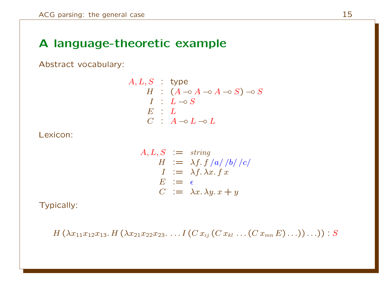## A language-theoretic example

Abstract vocabulary:

$$
A, L, S : type
$$
  
\n
$$
H : (A \neg A \neg A \neg B) \neg S
$$
  
\n
$$
I : L \neg S
$$
  
\n
$$
E : L
$$
  
\n
$$
C : A \neg L \neg D
$$

Lexicon:

$$
A, L, S := string
$$
  
\n
$$
H := \lambda f. f /a / b / c / c
$$
  
\n
$$
I := \lambda f. \lambda x. f x
$$
  
\n
$$
E := \epsilon
$$
  
\n
$$
C := \lambda x. \lambda y. x + y
$$

Typically:

 $H(\lambda x_{11}x_{12}x_{13}. H(\lambda x_{21}x_{22}x_{23}. ... I (Cx_{ij}(Cx_{kl}...(Cx_{mn}E)...))...) : S$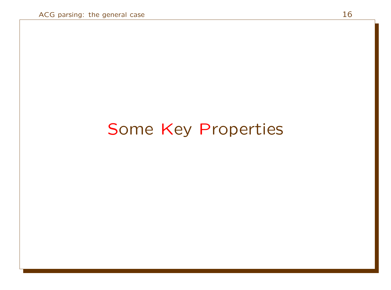# Some Key Properties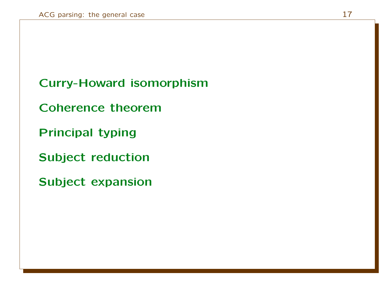## Curry-Howard isomorphism

Coherence theorem

Principal typing

Subject reduction

Subject expansion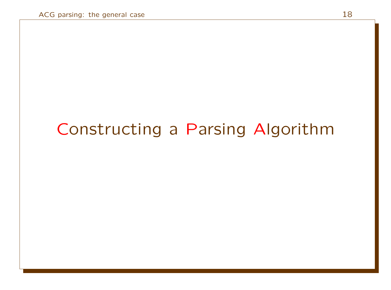# Constructing a Parsing Algorithm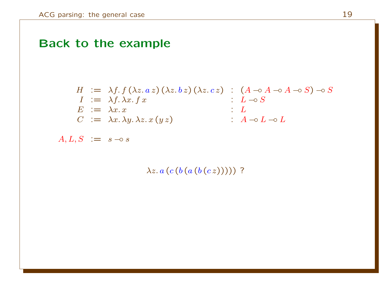## Back to the example

$$
H := \lambda f \cdot f (\lambda z. a z) (\lambda z. b z) (\lambda z. c z) : (A \neg A \neg A \neg B) \neg B
$$
  
\n
$$
I := \lambda f \cdot \lambda x. f x : L \neg B
$$
  
\n
$$
E := \lambda x. x : L
$$
  
\n
$$
C := \lambda x. \lambda y. \lambda z. x (y z) : A \neg B \neg D
$$

 $A, L, S \n\mathrel{\mathop:}= \n s \neg \circ s$ 

 $\lambda z. a (c (b (a (b (c z))))$ ?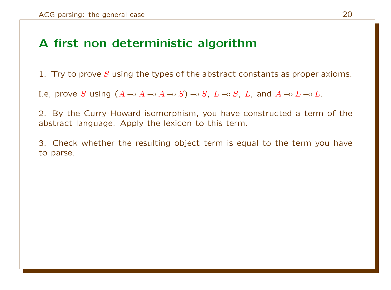## A first non deterministic algorithm

1. Try to prove S using the types of the abstract constants as proper axioms.

I.e, prove S using  $(A \neg o\ A \neg o\ A \neg o\ S) \neg o\ S$ ,  $L \neg o\ S$ , L, and  $A \neg o\ L \neg o\ L$ .

2. By the Curry-Howard isomorphism, you have constructed a term of the abstract language. Apply the lexicon to this term.

3. Check whether the resulting object term is equal to the term you have to parse.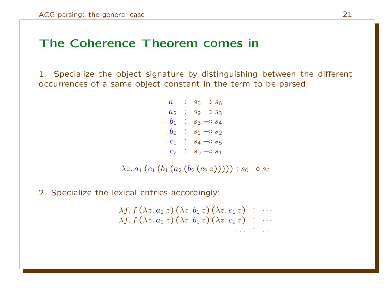### The Coherence Theorem comes in

1. Specialize the object signature by distinguishing between the different occurrences of a same object constant in the term to be parsed:

> $a_1$  :  $s_5 \to s_6$  $a_2$  :  $s_2$  −0  $s_3$  $b_1$  :  $s_3 \to s_4$  $b_2$  :  $s_1 \neg o s_2$  $c_1$  :  $s_4 \to s_5$  $c_2$  :  $s_0 \to s_1$

 $\lambda z. a_1 (c_1 (b_1 (a_2 (b_2 (c_2 z))))): s_0 \rightarrow s_6$ 

2. Specialize the lexical entries accordingly:

 $\lambda f. f(\lambda z. a_1 z) (\lambda z. b_1 z) (\lambda z. c_1 z)$ :  $\cdots$  $\lambda f. f(\lambda z. a_1 z) (\lambda z. b_1 z) (\lambda z. c_2 z)$  :  $\cdots$ . . . : . . .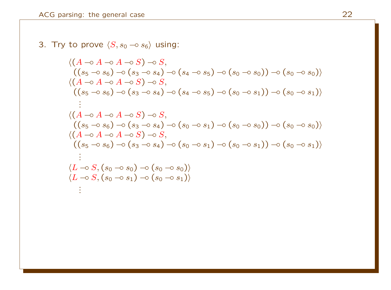3. Try to prove 
$$
\langle S, s_0 \rightarrow s_6 \rangle
$$
 using:  
\n $\langle (A \rightarrow A \rightarrow S) \rightarrow S,$   
\n $((s_5 \rightarrow s_6) \rightarrow (s_3 \rightarrow s_4) \rightarrow (s_4 \rightarrow s_5) \rightarrow (s_0 \rightarrow s_0)) \rightarrow (s_0 \rightarrow s_0) \rangle$   
\n $\langle (A \rightarrow A \rightarrow A \rightarrow S) \rightarrow S,$   
\n $((s_5 \rightarrow s_6) \rightarrow (s_3 \rightarrow s_4) \rightarrow (s_4 \rightarrow s_5) \rightarrow (s_0 \rightarrow s_1)) \rightarrow (s_0 \rightarrow s_1) \rangle$   
\n:  
\n $\langle (A \rightarrow A \rightarrow A \rightarrow S) \rightarrow S,$   
\n $((s_5 \rightarrow s_6) \rightarrow (s_3 \rightarrow s_4) \rightarrow (s_0 \rightarrow s_1) \rightarrow (s_0 \rightarrow s_0)) \rightarrow (s_0 \rightarrow s_0) \rangle$   
\n $\langle (A \rightarrow A \rightarrow A \rightarrow S) \rightarrow S,$   
\n $((s_5 \rightarrow s_6) \rightarrow (s_3 \rightarrow s_4) \rightarrow (s_0 \rightarrow s_1) \rightarrow (s_0 \rightarrow s_1)) \rightarrow (s_0 \rightarrow s_1) \rangle$   
\n:  
\n $\langle L \rightarrow S, (s_0 \rightarrow s_0) \rightarrow (s_0 \rightarrow s_0) \rangle$   
\n $\langle L \rightarrow S, (s_0 \rightarrow s_1) \rightarrow (s_0 \rightarrow s_1) \rangle$   
\n:  
\n $\langle L \rightarrow S, (s_0 \rightarrow s_1) \rightarrow (s_0 \rightarrow s_1) \rangle$   
\n $\langle s_0 \rightarrow s_1 \rangle$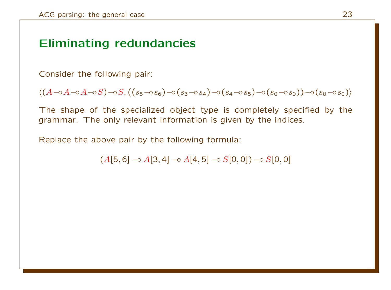## Eliminating redundancies

Consider the following pair:

$$
\langle (A-\circ A-\circ A-\circ S)-\circ S, ((s_5-\circ s_6)-\circ (s_3-s_4)-\circ (s_4-\circ s_5)-\circ (s_0-s_0))-\circ (s_0-s_0) \rangle
$$

The shape of the specialized object type is completely specified by the grammar. The only relevant information is given by the indices.

Replace the above pair by the following formula:

 $(A[5, 6] \rightarrow A[3, 4] \rightarrow A[4, 5] \rightarrow S[0, 0]) \rightarrow S[0, 0]$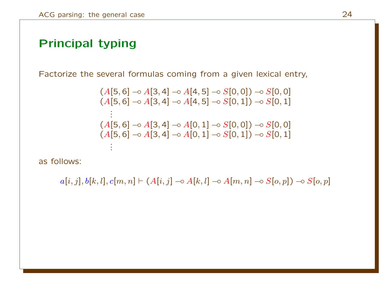### Principal typing

Factorize the several formulas coming from a given lexical entry,

$$
(A[5,6] \rightarrow A[3,4] \rightarrow A[4,5] \rightarrow S[0,0]) \rightarrow S[0,0]
$$
  
\n
$$
(A[5,6] \rightarrow A[3,4] \rightarrow A[4,5] \rightarrow S[0,1]) \rightarrow S[0,1]
$$
  
\n:  
\n
$$
(A[5,6] \rightarrow A[3,4] \rightarrow A[0,1] \rightarrow S[0,0]) \rightarrow S[0,0]
$$
  
\n
$$
(A[5,6] \rightarrow A[3,4] \rightarrow A[0,1] \rightarrow S[0,1]) \rightarrow S[0,1]
$$
  
\n:  
\n:  
\n:

as follows:

 $a[i, j], b[k, l], c[m, n]$   $\vdash$  (A[i, j]  $\lnot \circ A[k, l]$   $\lnot \circ A[m, n]$   $\lnot \circ S[o, p]$ )  $\lnot \circ S[o, p]$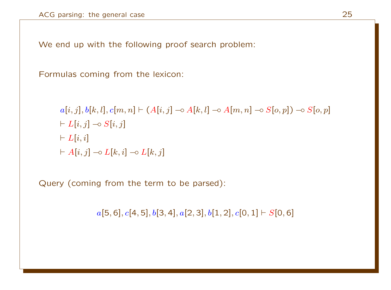We end up with the following proof search problem:

Formulas coming from the lexicon:

$$
a[i, j], b[k, l], c[m, n] \vdash (A[i, j] \multimap A[k, l] \multimap A[m, n] \multimap S[o, p]) \multimap S[o, p]
$$
  
\n
$$
\vdash L[i, j] \multimap S[i, j]
$$
  
\n
$$
\vdash L[i, i]
$$
  
\n
$$
\vdash A[i, j] \multimap L[k, i] \multimap L[k, j]
$$

Query (coming from the term to be parsed):

 $a[5, 6], c[4, 5], b[3, 4], a[2, 3], b[1, 2], c[0, 1] \vdash S[0, 6]$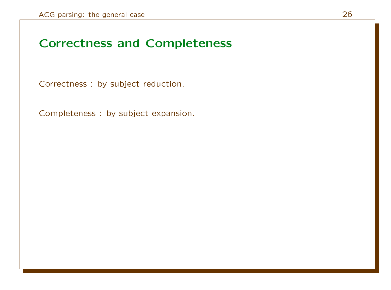### Correctness and Completeness

Correctness : by subject reduction.

Completeness : by subject expansion.